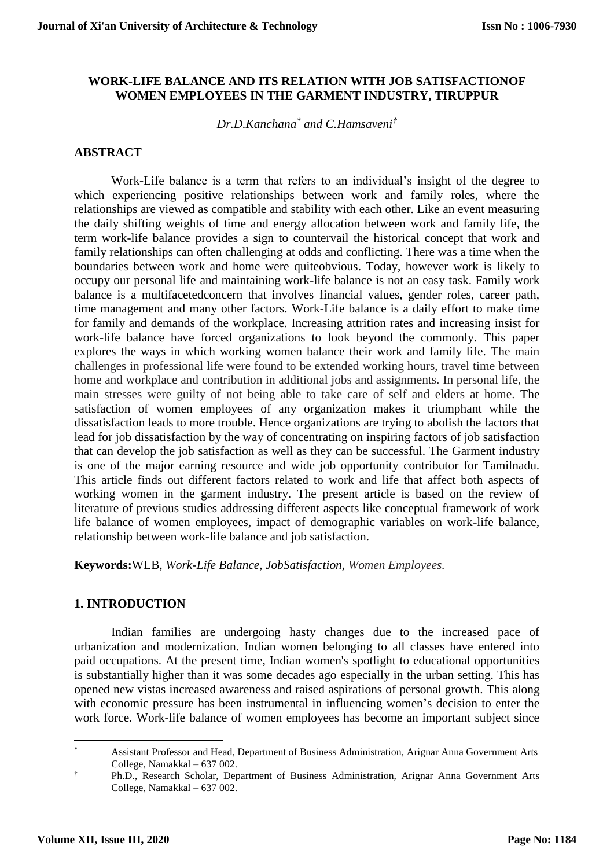#### **WORK-LIFE BALANCE AND ITS RELATION WITH JOB SATISFACTIONOF WOMEN EMPLOYEES IN THE GARMENT INDUSTRY, TIRUPPUR**

*Dr.D.Kanchana\* and C.Hamsaveni†*

#### **ABSTRACT**

Work-Life balance is a term that refers to an individual's insight of the degree to which experiencing positive relationships between work and family roles, where the relationships are viewed as compatible and stability with each other. Like an event measuring the daily shifting weights of time and energy allocation between work and family life, the term work-life balance provides a sign to countervail the historical concept that work and family relationships can often challenging at odds and conflicting. There was a time when the boundaries between work and home were quiteobvious. Today, however work is likely to occupy our personal life and maintaining work-life balance is not an easy task. Family work balance is a multifacetedconcern that involves financial values, gender roles, career path, time management and many other factors. Work-Life balance is a daily effort to make time for family and demands of the workplace. Increasing attrition rates and increasing insist for work-life balance have forced organizations to look beyond the commonly. This paper explores the ways in which working women balance their work and family life. The main challenges in professional life were found to be extended working hours, travel time between home and workplace and contribution in additional jobs and assignments. In personal life, the main stresses were guilty of not being able to take care of self and elders at home. The satisfaction of women employees of any organization makes it triumphant while the dissatisfaction leads to more trouble. Hence organizations are trying to abolish the factors that lead for job dissatisfaction by the way of concentrating on inspiring factors of job satisfaction that can develop the job satisfaction as well as they can be successful. The Garment industry is one of the major earning resource and wide job opportunity contributor for Tamilnadu. This article finds out different factors related to work and life that affect both aspects of working women in the garment industry. The present article is based on the review of literature of previous studies addressing different aspects like conceptual framework of work life balance of women employees, impact of demographic variables on work-life balance, relationship between work-life balance and job satisfaction.

**Keywords:**WLB, *Work-Life Balance, JobSatisfaction, Women Employees.*

#### **1. INTRODUCTION**

Indian families are undergoing hasty changes due to the increased pace of urbanization and modernization. Indian women belonging to all classes have entered into paid occupations. At the present time, Indian women's spotlight to educational opportunities is substantially higher than it was some decades ago especially in the urban setting. This has opened new vistas increased awareness and raised aspirations of personal growth. This along with economic pressure has been instrumental in influencing women's decision to enter the work force. Work-life balance of women employees has become an important subject since

**.** 

<sup>\*</sup> Assistant Professor and Head, Department of Business Administration, Arignar Anna Government Arts College, Namakkal – 637 002.

<sup>†</sup> Ph.D., Research Scholar, Department of Business Administration, Arignar Anna Government Arts College, Namakkal – 637 002.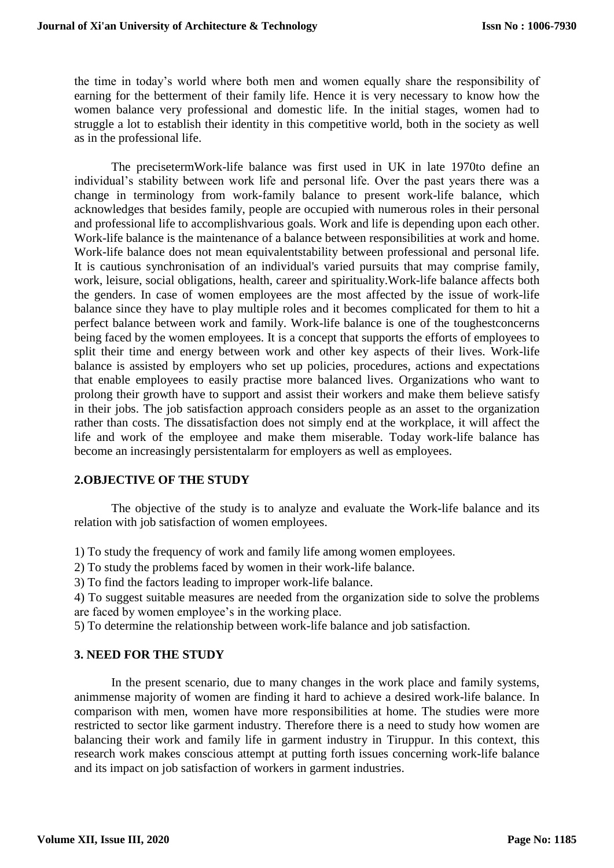the time in today's world where both men and women equally share the responsibility of earning for the betterment of their family life. Hence it is very necessary to know how the women balance very professional and domestic life. In the initial stages, women had to struggle a lot to establish their identity in this competitive world, both in the society as well as in the professional life.

The precisetermWork-life balance was first used in UK in late 1970to define an individual's stability between work life and personal life. Over the past years there was a change in terminology from work-family balance to present work-life balance, which acknowledges that besides family, people are occupied with numerous roles in their personal and professional life to accomplishvarious goals. Work and life is depending upon each other. Work-life balance is the maintenance of a balance between responsibilities at work and home. Work-life balance does not mean equivalentstability between professional and personal life. It is cautious synchronisation of an individual's varied pursuits that may comprise family, work, leisure, social obligations, health, career and spirituality.Work-life balance affects both the genders. In case of women employees are the most affected by the issue of work-life balance since they have to play multiple roles and it becomes complicated for them to hit a perfect balance between work and family. Work-life balance is one of the toughestconcerns being faced by the women employees. It is a concept that supports the efforts of employees to split their time and energy between work and other key aspects of their lives. Work-life balance is assisted by employers who set up policies, procedures, actions and expectations that enable employees to easily practise more balanced lives. Organizations who want to prolong their growth have to support and assist their workers and make them believe satisfy in their jobs. The job satisfaction approach considers people as an asset to the organization rather than costs. The dissatisfaction does not simply end at the workplace, it will affect the life and work of the employee and make them miserable. Today work-life balance has become an increasingly persistentalarm for employers as well as employees.

### **2.OBJECTIVE OF THE STUDY**

The objective of the study is to analyze and evaluate the Work-life balance and its relation with job satisfaction of women employees.

1) To study the frequency of work and family life among women employees.

2) To study the problems faced by women in their work-life balance.

3) To find the factors leading to improper work-life balance.

4) To suggest suitable measures are needed from the organization side to solve the problems are faced by women employee's in the working place.

5) To determine the relationship between work-life balance and job satisfaction.

### **3. NEED FOR THE STUDY**

In the present scenario, due to many changes in the work place and family systems, animmense majority of women are finding it hard to achieve a desired work-life balance. In comparison with men, women have more responsibilities at home. The studies were more restricted to sector like garment industry. Therefore there is a need to study how women are balancing their work and family life in garment industry in Tiruppur. In this context, this research work makes conscious attempt at putting forth issues concerning work-life balance and its impact on job satisfaction of workers in garment industries.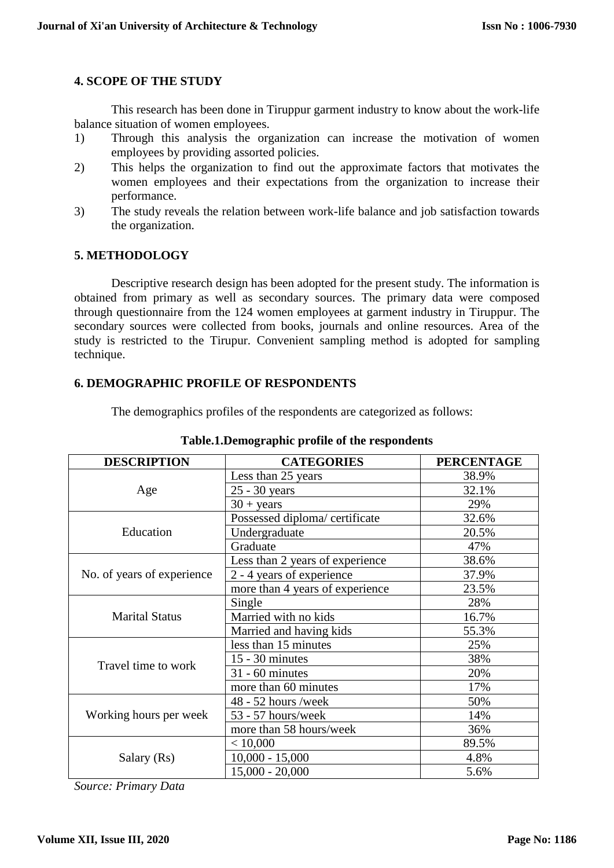## **4. SCOPE OF THE STUDY**

This research has been done in Tiruppur garment industry to know about the work-life balance situation of women employees.

- 1) Through this analysis the organization can increase the motivation of women employees by providing assorted policies.
- 2) This helps the organization to find out the approximate factors that motivates the women employees and their expectations from the organization to increase their performance.
- 3) The study reveals the relation between work-life balance and job satisfaction towards the organization.

## **5. METHODOLOGY**

Descriptive research design has been adopted for the present study. The information is obtained from primary as well as secondary sources. The primary data were composed through questionnaire from the 124 women employees at garment industry in Tiruppur. The secondary sources were collected from books, journals and online resources. Area of the study is restricted to the Tirupur. Convenient sampling method is adopted for sampling technique.

## **6. DEMOGRAPHIC PROFILE OF RESPONDENTS**

The demographics profiles of the respondents are categorized as follows:

| <b>DESCRIPTION</b>         | <b>CATEGORIES</b>               | <b>PERCENTAGE</b> |
|----------------------------|---------------------------------|-------------------|
| Age                        | Less than 25 years              | 38.9%             |
|                            | 25 - 30 years                   | 32.1%             |
|                            | $30 + \text{years}$             | 29%               |
| Education                  | Possessed diploma/ certificate  | 32.6%             |
|                            | Undergraduate                   | 20.5%             |
|                            | Graduate                        | 47%               |
| No. of years of experience | Less than 2 years of experience | 38.6%             |
|                            | 2 - 4 years of experience       | 37.9%             |
|                            | more than 4 years of experience | 23.5%             |
| <b>Marital Status</b>      | Single                          | 28%               |
|                            | Married with no kids            | 16.7%             |
|                            | Married and having kids         | 55.3%             |
| Travel time to work        | less than 15 minutes            | 25%               |
|                            | $15 - 30$ minutes               | 38%               |
|                            | $31 - 60$ minutes               | 20%               |
|                            | more than 60 minutes            | 17%               |
| Working hours per week     | 48 - 52 hours /week             | 50%               |
|                            | 53 - 57 hours/week              | 14%               |
|                            | more than 58 hours/week         | 36%               |
| Salary (Rs)                | < 10,000                        | 89.5%             |
|                            | $10,000 - 15,000$               | 4.8%              |
|                            | $15,000 - 20,000$               | 5.6%              |

### **Table.1.Demographic profile of the respondents**

*Source: Primary Data*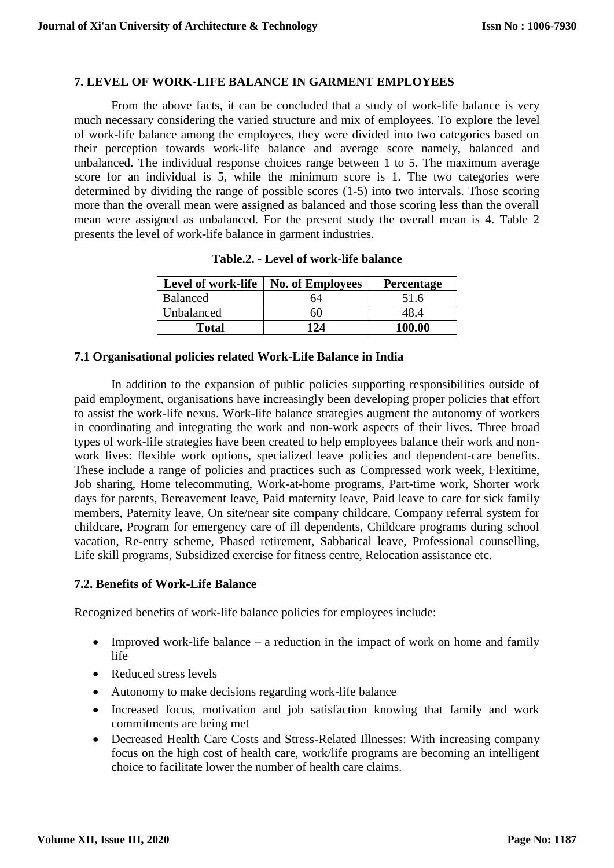## **7. LEVEL OF WORK-LIFE BALANCE IN GARMENT EMPLOYEES**

From the above facts, it can be concluded that a study of work-life balance is very much necessary considering the varied structure and mix of employees. To explore the level of work-life balance among the employees, they were divided into two categories based on their perception towards work-life balance and average score namely, balanced and unbalanced. The individual response choices range between 1 to 5. The maximum average score for an individual is 5, while the minimum score is 1. The two categories were determined by dividing the range of possible scores (1-5) into two intervals. Those scoring more than the overall mean were assigned as balanced and those scoring less than the overall mean were assigned as unbalanced. For the present study the overall mean is 4. Table 2 presents the level of work-life balance in garment industries.

| Level of work-life | <b>No. of Employees</b> | <b>Percentage</b> |
|--------------------|-------------------------|-------------------|
| <b>Balanced</b>    | 64                      | 51.6              |
| Unbalanced         | 60                      | 48 A              |
| Total              | 124                     | 100.00            |

**Table.2. - Level of work-life balance**

### **7.1 Organisational policies related Work-Life Balance in India**

In addition to the expansion of public policies supporting responsibilities outside of paid employment, organisations have increasingly been developing proper policies that effort to assist the work-life nexus. Work-life balance strategies augment the autonomy of workers in coordinating and integrating the work and non-work aspects of their lives. Three broad types of work-life strategies have been created to help employees balance their work and nonwork lives: flexible work options, specialized leave policies and dependent-care benefits. These include a range of policies and practices such as Compressed work week, Flexitime, Job sharing, Home telecommuting, Work-at-home programs, Part-time work, Shorter work days for parents, Bereavement leave, Paid maternity leave, Paid leave to care for sick family members, Paternity leave, On site/near site company childcare, Company referral system for childcare, Program for emergency care of ill dependents, Childcare programs during school vacation, Re-entry scheme, Phased retirement, Sabbatical leave, Professional counselling, Life skill programs, Subsidized exercise for fitness centre, Relocation assistance etc.

### **7.2. Benefits of Work-Life Balance**

Recognized benefits of work-life balance policies for employees include:

- Improved work-life balance  $-$  a reduction in the impact of work on home and family life
- Reduced stress levels
- Autonomy to make decisions regarding work-life balance
- Increased focus, motivation and job satisfaction knowing that family and work commitments are being met
- Decreased Health Care Costs and Stress-Related Illnesses: With increasing company focus on the high cost of health care, work/life programs are becoming an intelligent choice to facilitate lower the number of health care claims.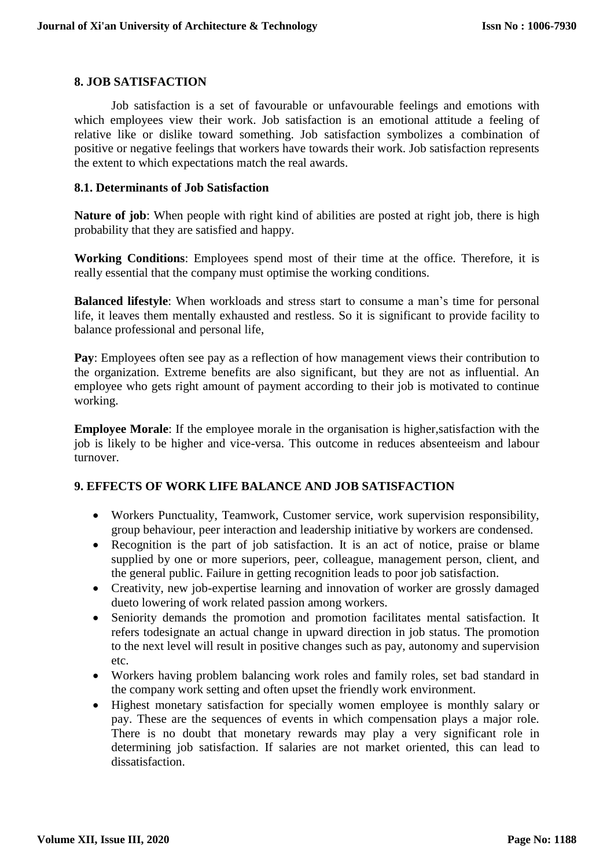## **8. JOB SATISFACTION**

Job satisfaction is a set of favourable or unfavourable feelings and emotions with which employees view their work. Job satisfaction is an emotional attitude a feeling of relative like or dislike toward something. Job satisfaction symbolizes a combination of positive or negative feelings that workers have towards their work. Job satisfaction represents the extent to which expectations match the real awards.

### **8.1. Determinants of Job Satisfaction**

**Nature of job**: When people with right kind of abilities are posted at right job, there is high probability that they are satisfied and happy.

**Working Conditions**: Employees spend most of their time at the office. Therefore, it is really essential that the company must optimise the working conditions.

**Balanced lifestyle**: When workloads and stress start to consume a man's time for personal life, it leaves them mentally exhausted and restless. So it is significant to provide facility to balance professional and personal life,

**Pay**: Employees often see pay as a reflection of how management views their contribution to the organization. Extreme benefits are also significant, but they are not as influential. An employee who gets right amount of payment according to their job is motivated to continue working.

**Employee Morale**: If the employee morale in the organisation is higher,satisfaction with the job is likely to be higher and vice-versa. This outcome in reduces absenteeism and labour turnover.

# **9. EFFECTS OF WORK LIFE BALANCE AND JOB SATISFACTION**

- Workers Punctuality, Teamwork, Customer service, work supervision responsibility, group behaviour, peer interaction and leadership initiative by workers are condensed.
- Recognition is the part of job satisfaction. It is an act of notice, praise or blame supplied by one or more superiors, peer, colleague, management person, client, and the general public. Failure in getting recognition leads to poor job satisfaction.
- Creativity, new job-expertise learning and innovation of worker are grossly damaged dueto lowering of work related passion among workers.
- Seniority demands the promotion and promotion facilitates mental satisfaction. It refers todesignate an actual change in upward direction in job status. The promotion to the next level will result in positive changes such as pay, autonomy and supervision etc.
- Workers having problem balancing work roles and family roles, set bad standard in the company work setting and often upset the friendly work environment.
- Highest monetary satisfaction for specially women employee is monthly salary or pay. These are the sequences of events in which compensation plays a major role. There is no doubt that monetary rewards may play a very significant role in determining job satisfaction. If salaries are not market oriented, this can lead to dissatisfaction.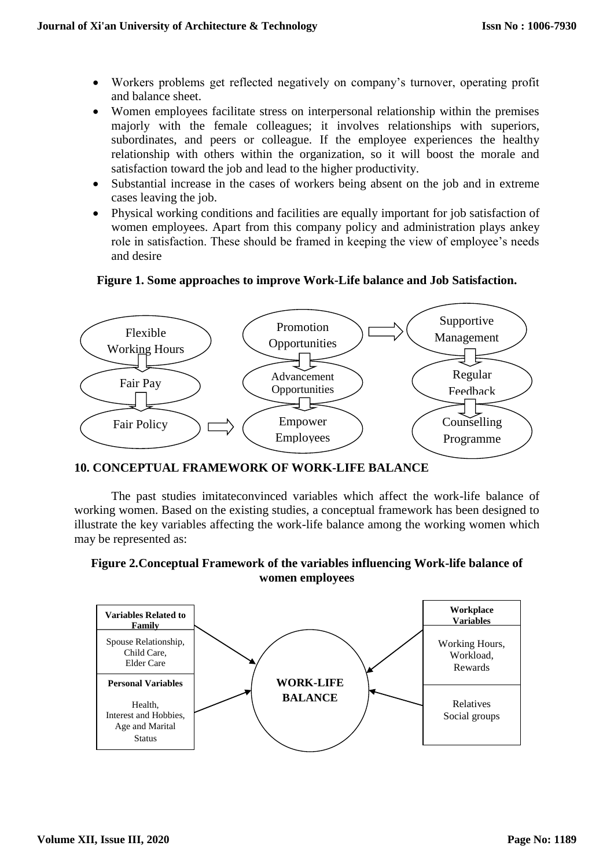- Workers problems get reflected negatively on company's turnover, operating profit and balance sheet.
- Women employees facilitate stress on interpersonal relationship within the premises majorly with the female colleagues; it involves relationships with superiors, subordinates, and peers or colleague. If the employee experiences the healthy relationship with others within the organization, so it will boost the morale and satisfaction toward the job and lead to the higher productivity.
- Substantial increase in the cases of workers being absent on the job and in extreme cases leaving the job.
- Physical working conditions and facilities are equally important for job satisfaction of women employees. Apart from this company policy and administration plays ankey role in satisfaction. These should be framed in keeping the view of employee's needs and desire

## **Figure 1. Some approaches to improve Work-Life balance and Job Satisfaction.**



# **10. CONCEPTUAL FRAMEWORK OF WORK-LIFE BALANCE**

The past studies imitateconvinced variables which affect the work-life balance of working women. Based on the existing studies, a conceptual framework has been designed to illustrate the key variables affecting the work-life balance among the working women which may be represented as:

# **Figure 2.Conceptual Framework of the variables influencing Work-life balance of women employees**

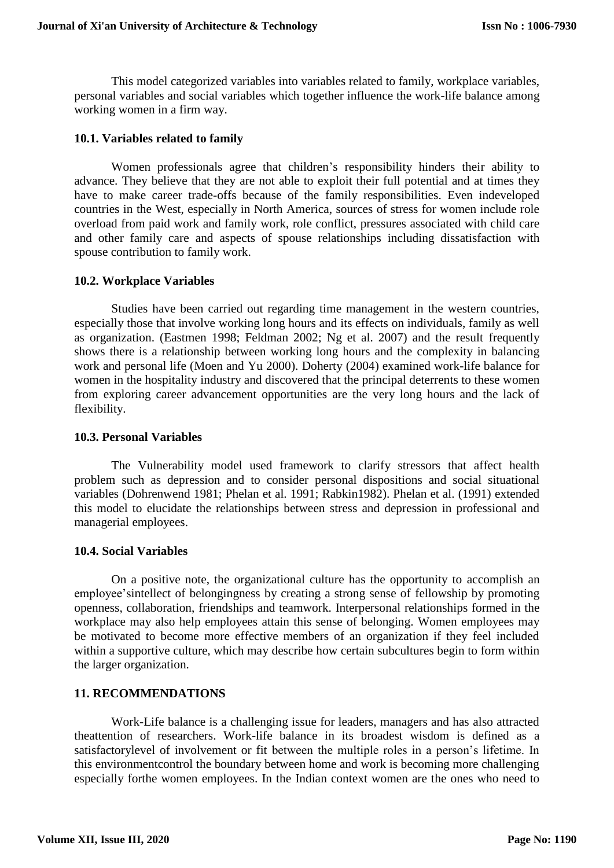This model categorized variables into variables related to family, workplace variables, personal variables and social variables which together influence the work-life balance among working women in a firm way.

### **10.1. Variables related to family**

Women professionals agree that children's responsibility hinders their ability to advance. They believe that they are not able to exploit their full potential and at times they have to make career trade-offs because of the family responsibilities. Even indeveloped countries in the West, especially in North America, sources of stress for women include role overload from paid work and family work, role conflict, pressures associated with child care and other family care and aspects of spouse relationships including dissatisfaction with spouse contribution to family work.

#### **10.2. Workplace Variables**

Studies have been carried out regarding time management in the western countries, especially those that involve working long hours and its effects on individuals, family as well as organization. (Eastmen 1998; Feldman 2002; Ng et al. 2007) and the result frequently shows there is a relationship between working long hours and the complexity in balancing work and personal life (Moen and Yu 2000). Doherty (2004) examined work-life balance for women in the hospitality industry and discovered that the principal deterrents to these women from exploring career advancement opportunities are the very long hours and the lack of flexibility.

#### **10.3. Personal Variables**

The Vulnerability model used framework to clarify stressors that affect health problem such as depression and to consider personal dispositions and social situational variables (Dohrenwend 1981; Phelan et al. 1991; Rabkin1982). Phelan et al. (1991) extended this model to elucidate the relationships between stress and depression in professional and managerial employees.

### **10.4. Social Variables**

On a positive note, the organizational culture has the opportunity to accomplish an employee'sintellect of belongingness by creating a strong sense of fellowship by promoting openness, collaboration, friendships and teamwork. Interpersonal relationships formed in the workplace may also help employees attain this sense of belonging. Women employees may be motivated to become more effective members of an organization if they feel included within a supportive culture, which may describe how certain subcultures begin to form within the larger organization.

## **11. RECOMMENDATIONS**

Work-Life balance is a challenging issue for leaders, managers and has also attracted theattention of researchers. Work-life balance in its broadest wisdom is defined as a satisfactorylevel of involvement or fit between the multiple roles in a person's lifetime. In this environmentcontrol the boundary between home and work is becoming more challenging especially forthe women employees. In the Indian context women are the ones who need to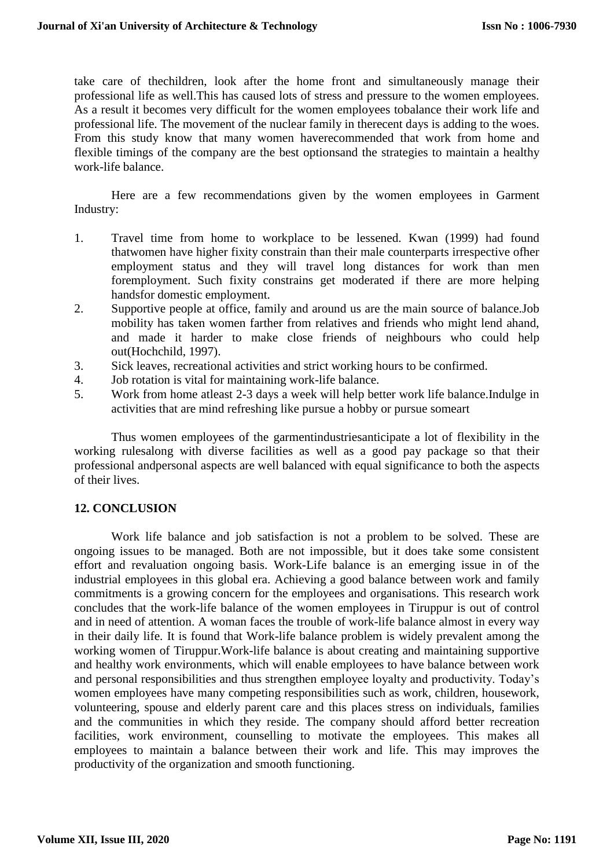take care of thechildren, look after the home front and simultaneously manage their professional life as well.This has caused lots of stress and pressure to the women employees. As a result it becomes very difficult for the women employees tobalance their work life and professional life. The movement of the nuclear family in therecent days is adding to the woes. From this study know that many women haverecommended that work from home and flexible timings of the company are the best optionsand the strategies to maintain a healthy work-life balance.

Here are a few recommendations given by the women employees in Garment Industry:

- 1. Travel time from home to workplace to be lessened. Kwan (1999) had found thatwomen have higher fixity constrain than their male counterparts irrespective ofher employment status and they will travel long distances for work than men foremployment. Such fixity constrains get moderated if there are more helping handsfor domestic employment.
- 2. Supportive people at office, family and around us are the main source of balance.Job mobility has taken women farther from relatives and friends who might lend ahand, and made it harder to make close friends of neighbours who could help out(Hochchild, 1997).
- 3. Sick leaves, recreational activities and strict working hours to be confirmed.
- 4. Job rotation is vital for maintaining work-life balance.
- 5. Work from home atleast 2-3 days a week will help better work life balance.Indulge in activities that are mind refreshing like pursue a hobby or pursue someart

Thus women employees of the garmentindustriesanticipate a lot of flexibility in the working rulesalong with diverse facilities as well as a good pay package so that their professional andpersonal aspects are well balanced with equal significance to both the aspects of their lives.

# **12. CONCLUSION**

Work life balance and job satisfaction is not a problem to be solved. These are ongoing issues to be managed. Both are not impossible, but it does take some consistent effort and revaluation ongoing basis. Work-Life balance is an emerging issue in of the industrial employees in this global era. Achieving a good balance between work and family commitments is a growing concern for the employees and organisations. This research work concludes that the work-life balance of the women employees in Tiruppur is out of control and in need of attention. A woman faces the trouble of work-life balance almost in every way in their daily life. It is found that Work-life balance problem is widely prevalent among the working women of Tiruppur.Work-life balance is about creating and maintaining supportive and healthy work environments, which will enable employees to have balance between work and personal responsibilities and thus strengthen employee loyalty and productivity. Today's women employees have many competing responsibilities such as work, children, housework, volunteering, spouse and elderly parent care and this places stress on individuals, families and the communities in which they reside. The company should afford better recreation facilities, work environment, counselling to motivate the employees. This makes all employees to maintain a balance between their work and life. This may improves the productivity of the organization and smooth functioning.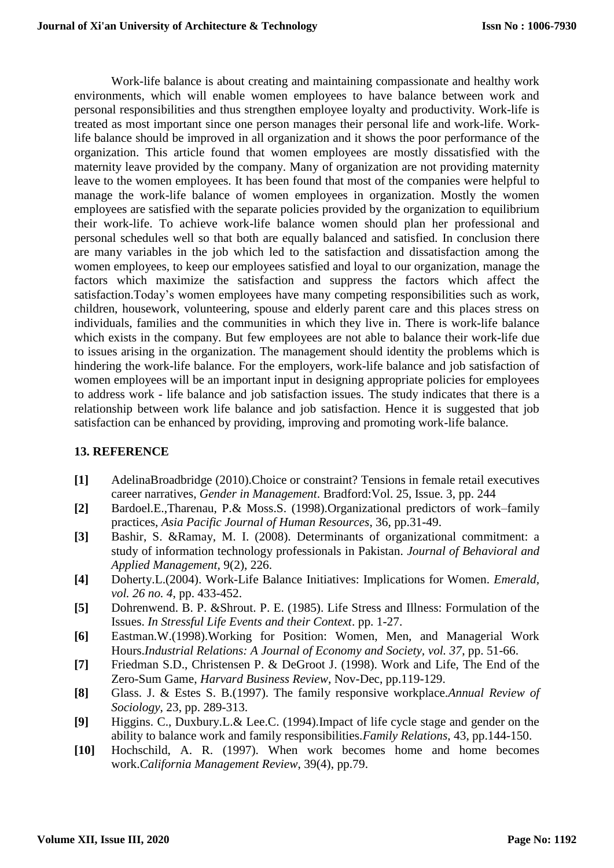Work-life balance is about creating and maintaining compassionate and healthy work environments, which will enable women employees to have balance between work and personal responsibilities and thus strengthen employee loyalty and productivity. Work-life is treated as most important since one person manages their personal life and work-life. Worklife balance should be improved in all organization and it shows the poor performance of the organization. This article found that women employees are mostly dissatisfied with the maternity leave provided by the company. Many of organization are not providing maternity leave to the women employees. It has been found that most of the companies were helpful to manage the work-life balance of women employees in organization. Mostly the women employees are satisfied with the separate policies provided by the organization to equilibrium their work-life. To achieve work-life balance women should plan her professional and personal schedules well so that both are equally balanced and satisfied. In conclusion there are many variables in the job which led to the satisfaction and dissatisfaction among the women employees, to keep our employees satisfied and loyal to our organization, manage the factors which maximize the satisfaction and suppress the factors which affect the satisfaction.Today's women employees have many competing responsibilities such as work, children, housework, volunteering, spouse and elderly parent care and this places stress on individuals, families and the communities in which they live in. There is work-life balance which exists in the company. But few employees are not able to balance their work-life due to issues arising in the organization. The management should identity the problems which is hindering the work-life balance. For the employers, work-life balance and job satisfaction of women employees will be an important input in designing appropriate policies for employees to address work - life balance and job satisfaction issues. The study indicates that there is a relationship between work life balance and job satisfaction. Hence it is suggested that job satisfaction can be enhanced by providing, improving and promoting work-life balance.

# **13. REFERENCE**

- **[1]** AdelinaBroadbridge (2010).Choice or constraint? Tensions in female retail executives career narratives, *Gender in Management*. Bradford:Vol. 25, Issue. 3, pp. 244
- **[2]** Bardoel.E.,Tharenau, P.& Moss.S. (1998).Organizational predictors of work–family practices, *Asia Pacific Journal of Human Resources*, 36, pp.31-49.
- **[3]** Bashir, S. &Ramay, M. I. (2008). Determinants of organizational commitment: a study of information technology professionals in Pakistan. *Journal of Behavioral and Applied Management,* 9(2), 226.
- **[4]** Doherty.L.(2004). Work-Life Balance Initiatives: Implications for Women. *Emerald, vol. 26 no. 4*, pp. 433-452.
- **[5]** Dohrenwend. B. P. &Shrout. P. E. (1985). Life Stress and Illness: Formulation of the Issues. *In Stressful Life Events and their Context*. pp. 1-27.
- **[6]** Eastman.W.(1998).Working for Position: Women, Men, and Managerial Work Hours.*Industrial Relations: A Journal of Economy and Society, vol. 37*, pp. 51-66.
- **[7]** Friedman S.D., Christensen P. & DeGroot J. (1998). Work and Life, The End of the Zero-Sum Game, *Harvard Business Review*, Nov-Dec, pp.119-129.
- **[8]** Glass. J. & Estes S. B.(1997). The family responsive workplace.*Annual Review of Sociology*, 23, pp. 289-313.
- **[9]** Higgins. C., Duxbury.L.& Lee.C. (1994).Impact of life cycle stage and gender on the ability to balance work and family responsibilities.*Family Relations*, 43, pp.144-150.
- **[10]** Hochschild, A. R. (1997). When work becomes home and home becomes work.*California Management Review*, 39(4), pp.79.